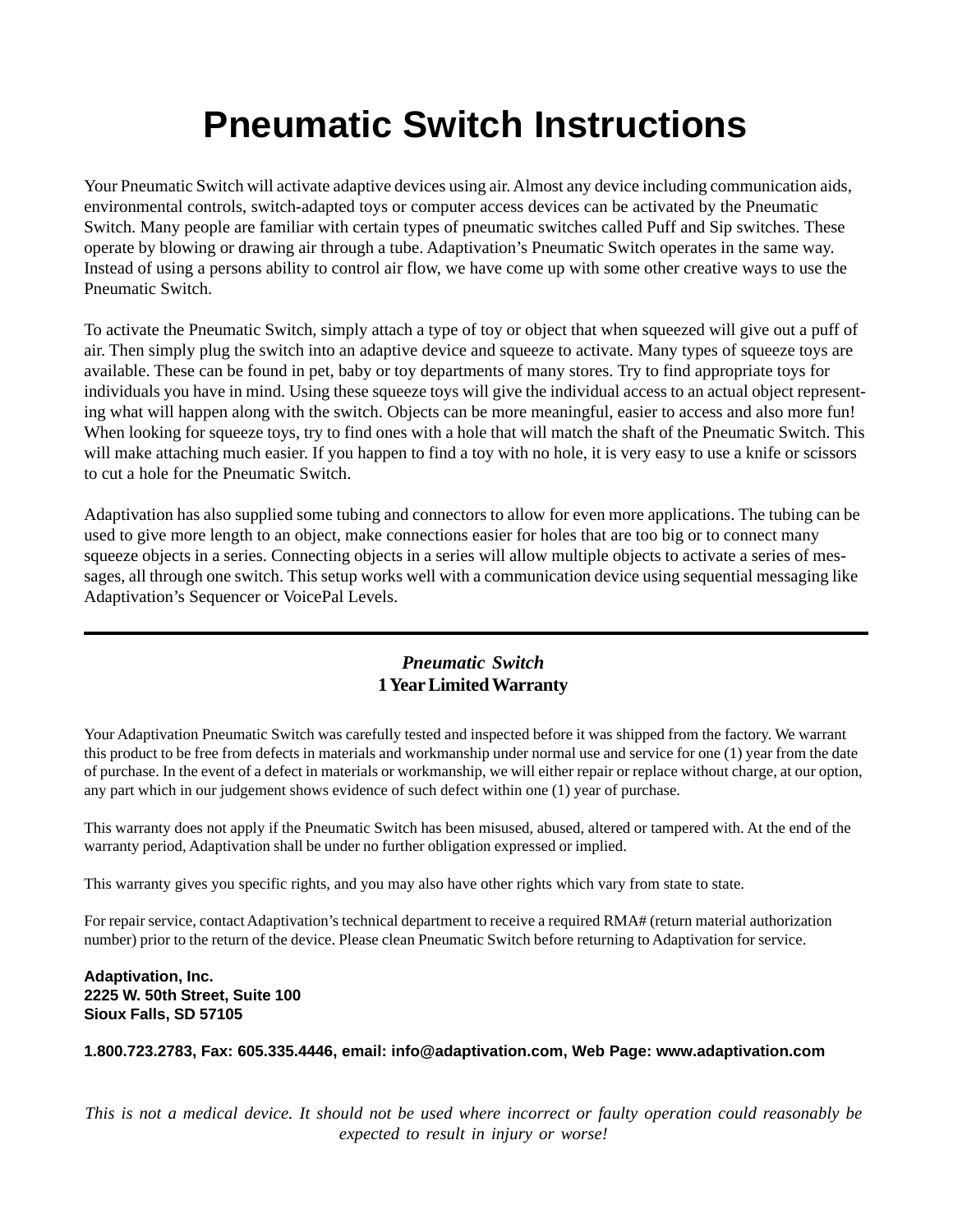# **Pneumatic Switch Instructions**

Your Pneumatic Switch will activate adaptive devices using air. Almost any device including communication aids, environmental controls, switch-adapted toys or computer access devices can be activated by the Pneumatic Switch. Many people are familiar with certain types of pneumatic switches called Puff and Sip switches. These operate by blowing or drawing air through a tube. Adaptivation's Pneumatic Switch operates in the same way. Instead of using a persons ability to control air flow, we have come up with some other creative ways to use the Pneumatic Switch.

To activate the Pneumatic Switch, simply attach a type of toy or object that when squeezed will give out a puff of air. Then simply plug the switch into an adaptive device and squeeze to activate. Many types of squeeze toys are available. These can be found in pet, baby or toy departments of many stores. Try to find appropriate toys for individuals you have in mind. Using these squeeze toys will give the individual access to an actual object representing what will happen along with the switch. Objects can be more meaningful, easier to access and also more fun! When looking for squeeze toys, try to find ones with a hole that will match the shaft of the Pneumatic Switch. This will make attaching much easier. If you happen to find a toy with no hole, it is very easy to use a knife or scissors to cut a hole for the Pneumatic Switch.

Adaptivation has also supplied some tubing and connectors to allow for even more applications. The tubing can be used to give more length to an object, make connections easier for holes that are too big or to connect many squeeze objects in a series. Connecting objects in a series will allow multiple objects to activate a series of messages, all through one switch. This setup works well with a communication device using sequential messaging like Adaptivation's Sequencer or VoicePal Levels.

#### *Pneumatic Switch* **1 Year Limited Warranty**

Your Adaptivation Pneumatic Switch was carefully tested and inspected before it was shipped from the factory. We warrant this product to be free from defects in materials and workmanship under normal use and service for one (1) year from the date of purchase. In the event of a defect in materials or workmanship, we will either repair or replace without charge, at our option, any part which in our judgement shows evidence of such defect within one (1) year of purchase.

This warranty does not apply if the Pneumatic Switch has been misused, abused, altered or tampered with. At the end of the warranty period, Adaptivation shall be under no further obligation expressed or implied.

This warranty gives you specific rights, and you may also have other rights which vary from state to state.

For repair service, contact Adaptivation's technical department to receive a required RMA# (return material authorization number) prior to the return of the device. Please clean Pneumatic Switch before returning to Adaptivation for service.

**Adaptivation, Inc. 2225 W. 50th Street, Suite 100 Sioux Falls, SD 57105**

**1.800.723.2783, Fax: 605.335.4446, email: info@adaptivation.com, Web Page: www.adaptivation.com**

*This is not a medical device. It should not be used where incorrect or faulty operation could reasonably be expected to result in injury or worse!*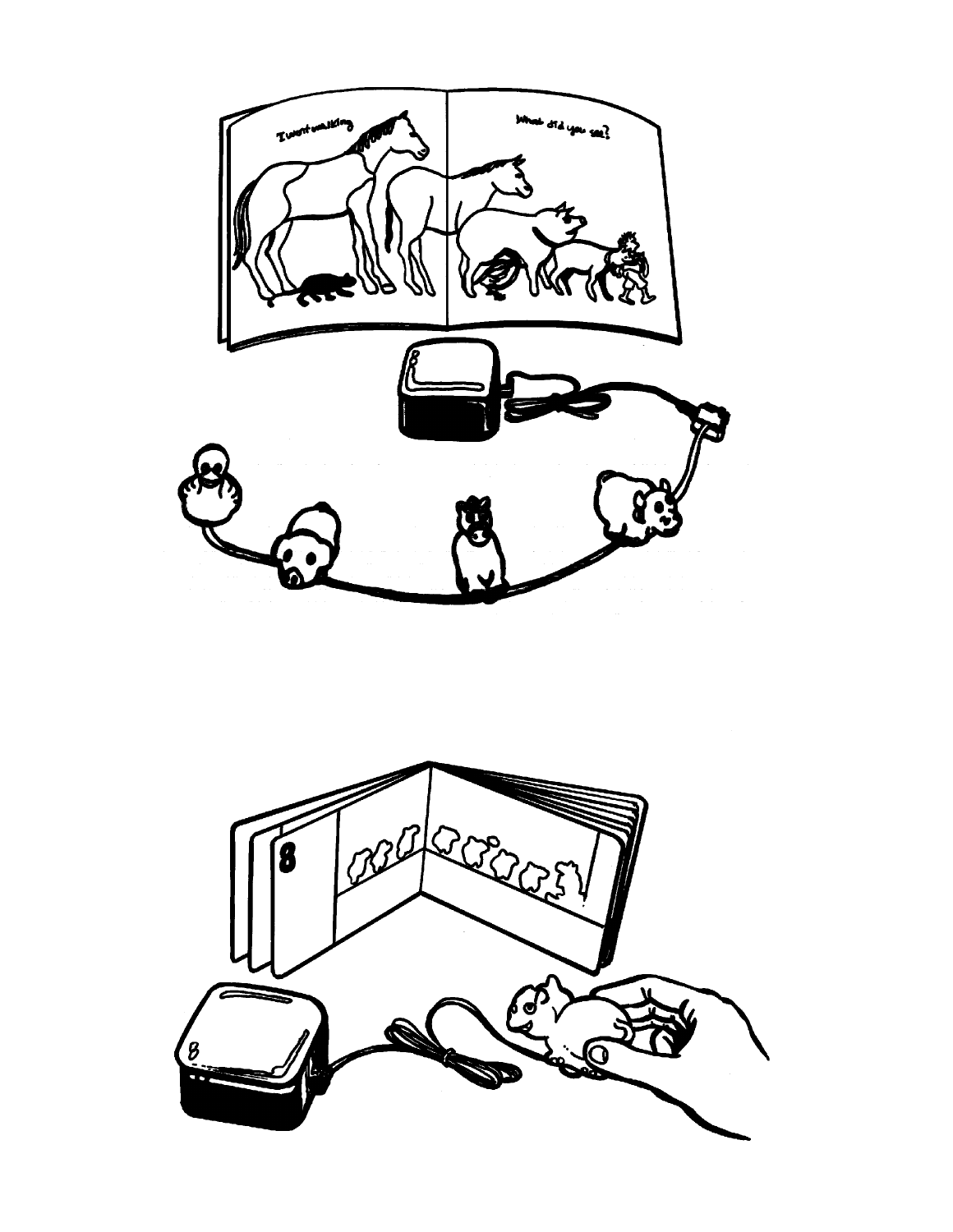

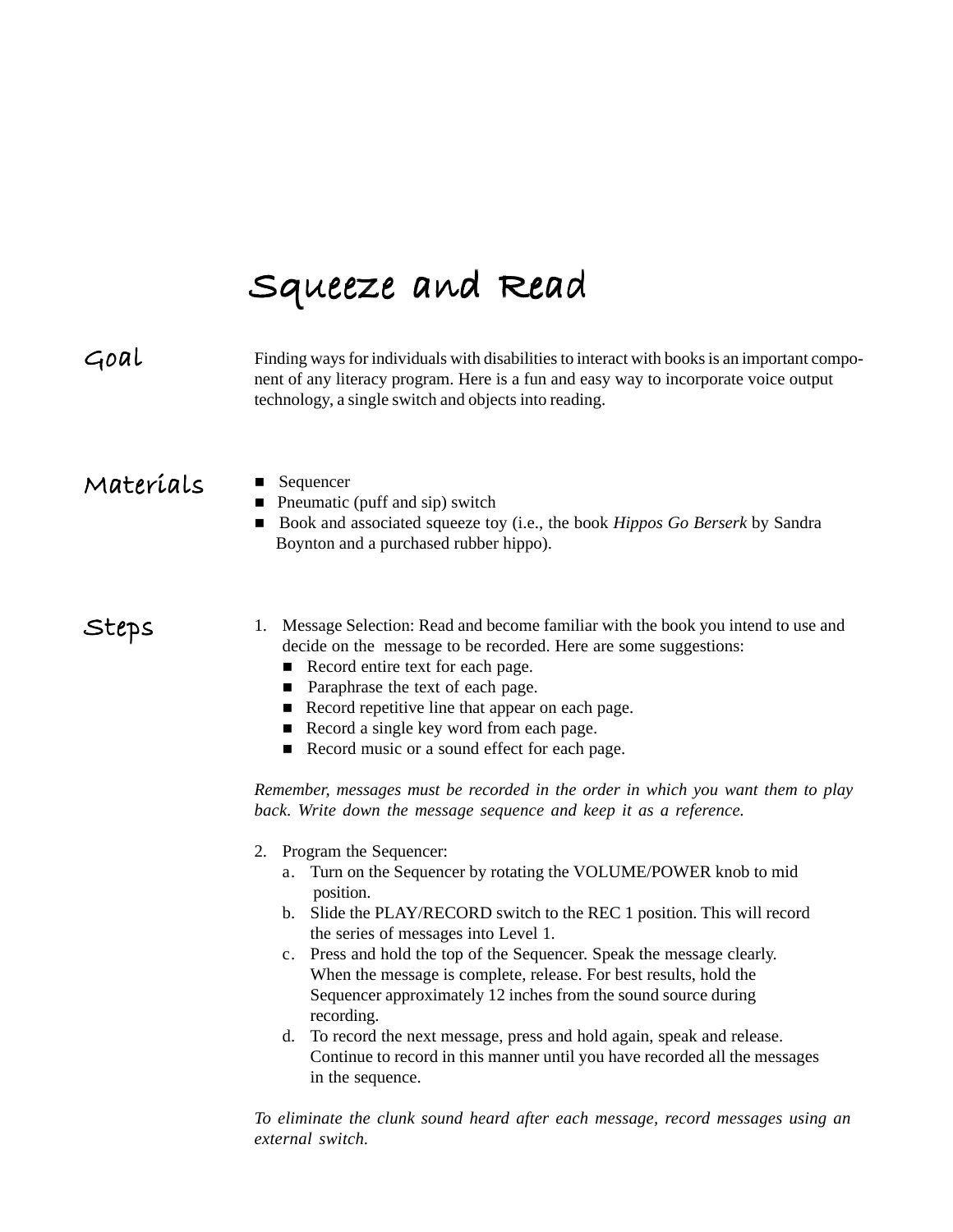## Squeeze and Read

| Goal      | Finding ways for individuals with disabilities to interact with books is an important compo-<br>nent of any literacy program. Here is a fun and easy way to incorporate voice output<br>technology, a single switch and objects into reading.                                                                                                                                                                                                                                                                                         |
|-----------|---------------------------------------------------------------------------------------------------------------------------------------------------------------------------------------------------------------------------------------------------------------------------------------------------------------------------------------------------------------------------------------------------------------------------------------------------------------------------------------------------------------------------------------|
| Materíals | $\blacksquare$ Sequencer<br>$\blacksquare$ Pneumatic (puff and sip) switch<br>Book and associated squeeze toy (i.e., the book Hippos Go Berserk by Sandra<br>Boynton and a purchased rubber hippo).                                                                                                                                                                                                                                                                                                                                   |
| Steps     | 1. Message Selection: Read and become familiar with the book you intend to use and<br>decide on the message to be recorded. Here are some suggestions:<br>Record entire text for each page.<br>п<br>Paraphrase the text of each page.<br>Record repetitive line that appear on each page.<br>Record a single key word from each page.<br>Record music or a sound effect for each page.<br>Remember, messages must be recorded in the order in which you want them to play                                                             |
|           | back. Write down the message sequence and keep it as a reference.<br>2. Program the Sequencer:<br>Turn on the Sequencer by rotating the VOLUME/POWER knob to mid<br>а.<br>position.<br>b. Slide the PLAY/RECORD switch to the REC 1 position. This will record<br>the series of messages into Level 1.<br>c. Press and hold the top of the Sequencer. Speak the message clearly.<br>When the message is complete, release. For best results, hold the<br>Sequencer approximately 12 inches from the sound source during<br>recording. |

d. To record the next message, press and hold again, speak and release. Continue to record in this manner until you have recorded all the messages in the sequence.

*To eliminate the clunk sound heard after each message, record messages using an external switch.*